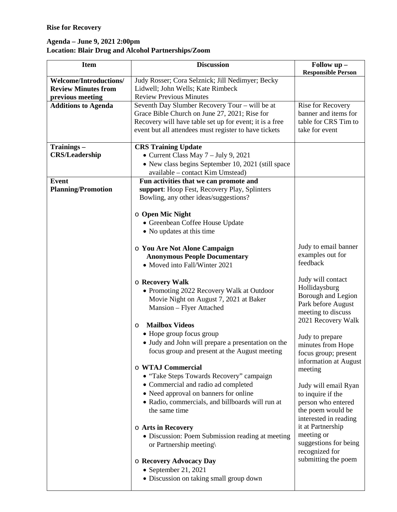## **Rise for Recovery**

## **Agenda – June 9, 2021 2:00pm Location: Blair Drug and Alcohol Partnerships/Zoom**

| <b>Item</b>                   | <b>Discussion</b>                                                  | Follow up -<br><b>Responsible Person</b> |
|-------------------------------|--------------------------------------------------------------------|------------------------------------------|
| <b>Welcome/Introductions/</b> | Judy Rosser; Cora Selznick; Jill Nedimyer; Becky                   |                                          |
| <b>Review Minutes from</b>    | Lidwell; John Wells; Kate Rimbeck                                  |                                          |
| previous meeting              | <b>Review Previous Minutes</b>                                     |                                          |
| <b>Additions to Agenda</b>    | Seventh Day Slumber Recovery Tour - will be at                     | Rise for Recovery                        |
|                               | Grace Bible Church on June 27, 2021; Rise for                      | banner and items for                     |
|                               | Recovery will have table set up for event; it is a free            | table for CRS Tim to                     |
|                               | event but all attendees must register to have tickets              | take for event                           |
| Trainings-                    | <b>CRS Training Update</b>                                         |                                          |
| <b>CRS/Leadership</b>         | • Current Class May $7 - July 9$ , 2021                            |                                          |
|                               | • New class begins September 10, 2021 (still space                 |                                          |
|                               | available – contact Kim Umstead)                                   |                                          |
| <b>Event</b>                  | Fun activities that we can promote and                             |                                          |
| <b>Planning/Promotion</b>     | support: Hoop Fest, Recovery Play, Splinters                       |                                          |
|                               | Bowling, any other ideas/suggestions?                              |                                          |
|                               | $\circ$ Open Mic Night                                             |                                          |
|                               | • Greenbean Coffee House Update                                    |                                          |
|                               | • No updates at this time                                          |                                          |
|                               |                                                                    |                                          |
|                               | o You Are Not Alone Campaign                                       | Judy to email banner                     |
|                               | <b>Anonymous People Documentary</b>                                | examples out for                         |
|                               | • Moved into Fall/Winter 2021                                      | feedback                                 |
|                               |                                                                    | Judy will contact                        |
|                               | <b>O Recovery Walk</b>                                             | Hollidaysburg                            |
|                               | • Promoting 2022 Recovery Walk at Outdoor                          | Borough and Legion                       |
|                               | Movie Night on August 7, 2021 at Baker<br>Mansion - Flyer Attached | Park before August                       |
|                               |                                                                    | meeting to discuss                       |
|                               | <b>Mailbox Videos</b><br>O                                         | 2021 Recovery Walk                       |
|                               | • Hope group focus group                                           |                                          |
|                               | • Judy and John will prepare a presentation on the                 | Judy to prepare                          |
|                               | focus group and present at the August meeting                      | minutes from Hope                        |
|                               |                                                                    | focus group; present                     |
|                               | o WTAJ Commercial                                                  | information at August                    |
|                               | • "Take Steps Towards Recovery" campaign                           | meeting                                  |
|                               | • Commercial and radio ad completed                                | Judy will email Ryan                     |
|                               | • Need approval on banners for online                              | to inquire if the                        |
|                               | • Radio, commercials, and billboards will run at                   | person who entered                       |
|                               | the same time                                                      | the poem would be                        |
|                               |                                                                    | interested in reading                    |
|                               | o Arts in Recovery                                                 | it at Partnership                        |
|                               | • Discussion: Poem Submission reading at meeting                   | meeting or                               |
|                               | or Partnership meeting\                                            | suggestions for being                    |
|                               |                                                                    | recognized for                           |
|                               | <b>O Recovery Advocacy Day</b>                                     | submitting the poem                      |
|                               | $\bullet$ September 21, 2021                                       |                                          |
|                               | · Discussion on taking small group down                            |                                          |
|                               |                                                                    |                                          |